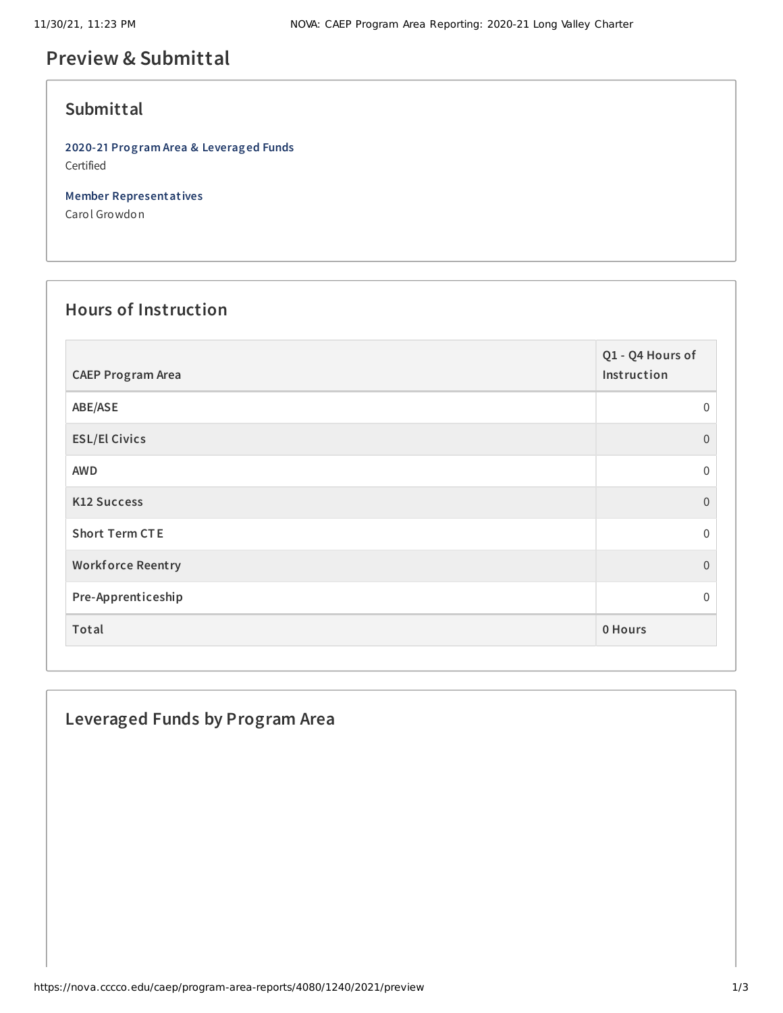# **Preview & Submittal**

### **Submittal**

**2020-21 Program Area & Leveraged Funds** Certified

**Member Representatives**

Carol Growdon

## **Hours of Instruction**

| <b>CAEP Program Area</b> | Q1 - Q4 Hours of<br>Instruction |
|--------------------------|---------------------------------|
| ABE/ASE                  | 0                               |
| <b>ESL/El Civics</b>     | $\overline{0}$                  |
| <b>AWD</b>               | 0                               |
| <b>K12 Success</b>       | $\overline{0}$                  |
| <b>Short Term CTE</b>    | $\mathbf{0}$                    |
| <b>Workforce Reentry</b> | $\overline{0}$                  |
| Pre-Apprenticeship       | 0                               |
| Total                    | 0 Hours                         |

### **Leveraged Funds by Program Area**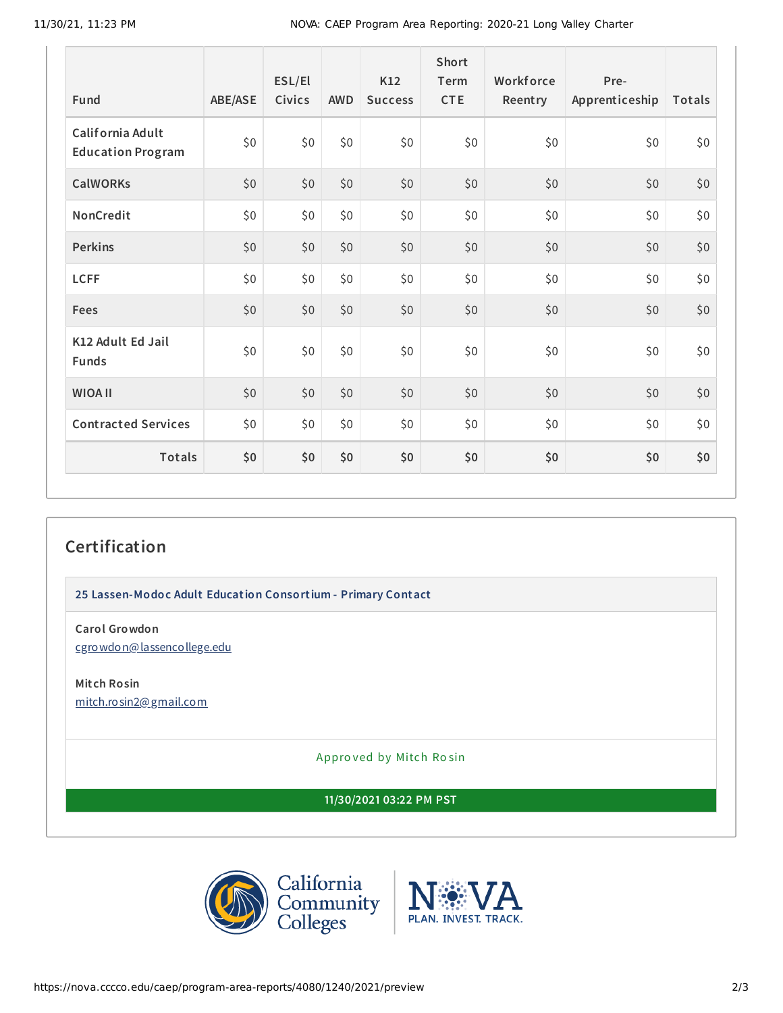| Fund                                         | ABE/ASE | ESL/El<br><b>Civics</b> | <b>AWD</b> | K12<br><b>Success</b> | Short<br>Term<br><b>CTE</b> | Workforce<br>Reentry | Pre-<br>Apprenticeship | Totals |
|----------------------------------------------|---------|-------------------------|------------|-----------------------|-----------------------------|----------------------|------------------------|--------|
| California Adult<br><b>Education Program</b> | \$0     | \$0                     | \$0        | \$0                   | \$0                         | \$0                  | \$0                    | \$0    |
| <b>CalWORKs</b>                              | \$0     | \$0                     | \$0        | \$0                   | \$0                         | \$0                  | \$0                    | \$0    |
| NonCredit                                    | \$0     | \$0                     | \$0\$      | \$0                   | \$0                         | \$0                  | \$0                    | \$0    |
| <b>Perkins</b>                               | \$0     | \$0                     | \$0        | \$0\$                 | \$0                         | \$0                  | \$0                    | \$0    |
| <b>LCFF</b>                                  | \$0     | \$0                     | \$0\$      | \$0                   | \$0                         | \$0                  | \$0                    | \$0    |
| Fees                                         | \$0     | \$0                     | \$0        | \$0                   | \$0                         | \$0                  | \$0                    | \$0    |
| K12 Adult Ed Jail<br><b>Funds</b>            | \$0     | \$0                     | \$0\$      | \$0                   | \$0                         | \$0                  | \$0                    | \$0    |
| <b>WIOA II</b>                               | \$0     | \$0                     | \$0        | \$0                   | \$0                         | \$0                  | \$0                    | \$0    |
| <b>Contracted Services</b>                   | \$0     | \$0                     | \$0\$      | \$0                   | \$0                         | \$0                  | \$0                    | \$0    |
| <b>Totals</b>                                | \$0     | \$0                     | \$0        | \$0                   | \$0                         | \$0                  | \$0                    | \$0    |

## **Certification**

**25 Lassen-Modoc Adult Education Consortium - Primary Contact**

**Carol Growdon** [cgrowdon@lassencollege.edu](mailto:cgrowdon@lassencollege.edu)

**Mitch Rosin** [mitch.rosin2@gmail.com](mailto:mitch.rosin2@gmail.com)

Appro ved by Mitch Ro sin

**11/30/2021 03:22 PM PST**